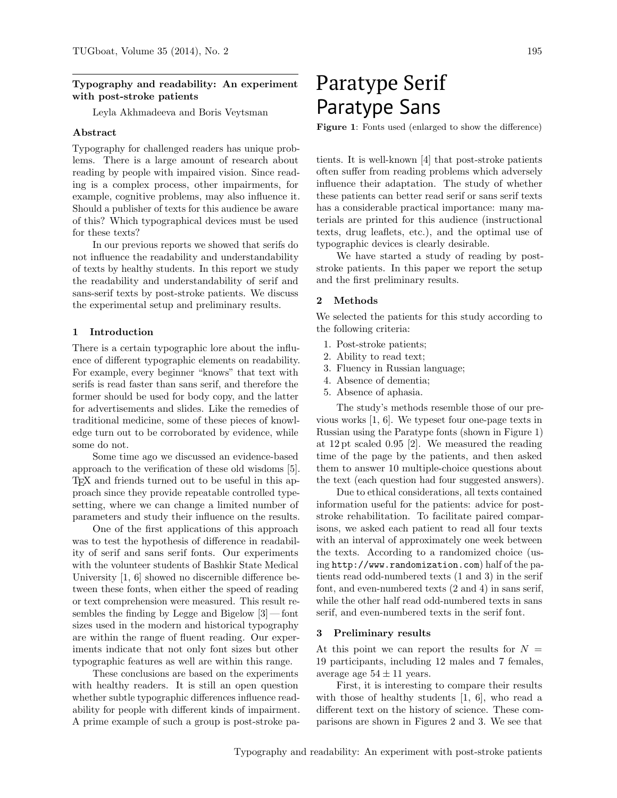# Typography and readability: An experiment with post-stroke patients

Leyla Akhmadeeva and Boris Veytsman

#### Abstract

Typography for challenged readers has unique problems. There is a large amount of research about reading by people with impaired vision. Since reading is a complex process, other impairments, for example, cognitive problems, may also influence it. Should a publisher of texts for this audience be aware of this? Which typographical devices must be used for these texts?

In our previous reports we showed that serifs do not influence the readability and understandability of texts by healthy students. In this report we study the readability and understandability of serif and sans-serif texts by post-stroke patients. We discuss the experimental setup and preliminary results.

#### 1 Introduction

There is a certain typographic lore about the influence of different typographic elements on readability. For example, every beginner "knows" that text with serifs is read faster than sans serif, and therefore the former should be used for body copy, and the latter for advertisements and slides. Like the remedies of traditional medicine, some of these pieces of knowledge turn out to be corroborated by evidence, while some do not.

Some time ago we discussed an evidence-based approach to the verification of these old wisdoms [\[5\]](#page-2-0). TEX and friends turned out to be useful in this approach since they provide repeatable controlled typesetting, where we can change a limited number of parameters and study their influence on the results.

One of the first applications of this approach was to test the hypothesis of difference in readability of serif and sans serif fonts. Our experiments with the volunteer students of Bashkir State Medical University [\[1,](#page-2-1) [6\]](#page-2-2) showed no discernible difference between these fonts, when either the speed of reading or text comprehension were measured. This result resembles the finding by Legge and Bigelow [\[3\]](#page-2-3) — font sizes used in the modern and historical typography are within the range of fluent reading. Our experiments indicate that not only font sizes but other typographic features as well are within this range.

These conclusions are based on the experiments with healthy readers. It is still an open question whether subtle typographic differences influence readability for people with different kinds of impairment. A prime example of such a group is post-stroke pa-

# Paratype Serif Paratype Sans

<span id="page-0-0"></span>Figure 1: Fonts used (enlarged to show the difference)

tients. It is well-known [\[4\]](#page-2-4) that post-stroke patients often suffer from reading problems which adversely influence their adaptation. The study of whether these patients can better read serif or sans serif texts has a considerable practical importance: many materials are printed for this audience (instructional texts, drug leaflets, etc.), and the optimal use of typographic devices is clearly desirable.

We have started a study of reading by poststroke patients. In this paper we report the setup and the first preliminary results.

## 2 Methods

We selected the patients for this study according to the following criteria:

- 1. Post-stroke patients;
- 2. Ability to read text;
- 3. Fluency in Russian language;
- 4. Absence of dementia;
- 5. Absence of aphasia.

The study's methods resemble those of our previous works [\[1,](#page-2-1) [6\]](#page-2-2). We typeset four one-page texts in Russian using the Paratype fonts (shown in Figure [1\)](#page-0-0) at 12 pt scaled 0.95 [\[2\]](#page-2-5). We measured the reading time of the page by the patients, and then asked them to answer 10 multiple-choice questions about the text (each question had four suggested answers).

Due to ethical considerations, all texts contained information useful for the patients: advice for poststroke rehabilitation. To facilitate paired comparisons, we asked each patient to read all four texts with an interval of approximately one week between the texts. According to a randomized choice (using <http://www.randomization.com>) half of the patients read odd-numbered texts (1 and 3) in the serif font, and even-numbered texts (2 and 4) in sans serif, while the other half read odd-numbered texts in sans serif, and even-numbered texts in the serif font.

#### 3 Preliminary results

At this point we can report the results for  $N =$ 19 participants, including 12 males and 7 females, average age  $54\pm11$  years.

First, it is interesting to compare their results with those of healthy students [\[1,](#page-2-1) [6\]](#page-2-2), who read a different text on the history of science. These comparisons are shown in Figures [2](#page-1-0) and [3.](#page-1-1) We see that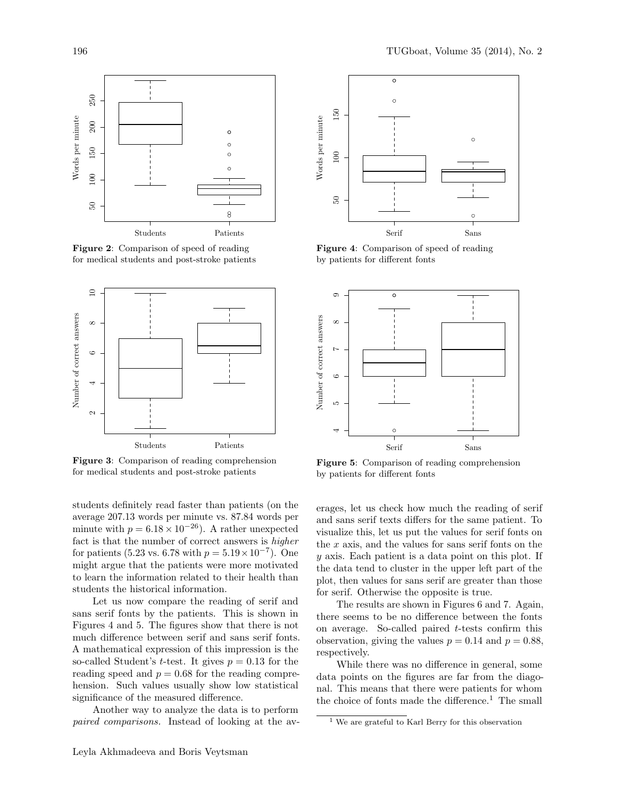

<span id="page-1-0"></span>Figure 2: Comparison of speed of reading for medical students and post-stroke patients



<span id="page-1-1"></span>Figure 3: Comparison of reading comprehension for medical students and post-stroke patients

students definitely read faster than patients (on the average 207.13 words per minute vs. 87.84 words per minute with  $p = 6.18 \times 10^{-26}$ . A rather unexpected fact is that the number of correct answers is higher for patients (5.23 vs. 6.78 with  $p = 5.19 \times 10^{-7}$ ). One might argue that the patients were more motivated to learn the information related to their health than students the historical information.

Let us now compare the reading of serif and sans serif fonts by the patients. This is shown in Figures [4](#page-1-2) and [5.](#page-1-3) The figures show that there is not much difference between serif and sans serif fonts. A mathematical expression of this impression is the so-called Student's *t*-test. It gives  $p = 0.13$  for the reading speed and  $p = 0.68$  for the reading comprehension. Such values usually show low statistical significance of the measured difference.

Another way to analyze the data is to perform paired comparisons. Instead of looking at the av-



<span id="page-1-2"></span>Figure 4: Comparison of speed of reading by patients for different fonts



<span id="page-1-3"></span>Figure 5: Comparison of reading comprehension by patients for different fonts

erages, let us check how much the reading of serif and sans serif texts differs for the same patient. To visualize this, let us put the values for serif fonts on the  $x$  axis, and the values for sans serif fonts on the y axis. Each patient is a data point on this plot. If the data tend to cluster in the upper left part of the plot, then values for sans serif are greater than those for serif. Otherwise the opposite is true.

The results are shown in Figures [6](#page-2-6) and [7.](#page-2-7) Again, there seems to be no difference between the fonts on average. So-called paired t-tests confirm this observation, giving the values  $p = 0.14$  and  $p = 0.88$ . respectively.

While there was no difference in general, some data points on the figures are far from the diagonal. This means that there were patients for whom the choice of fonts made the difference.<sup>[1](#page-1-4)</sup> The small

<span id="page-1-4"></span><sup>1</sup> We are grateful to Karl Berry for this observation